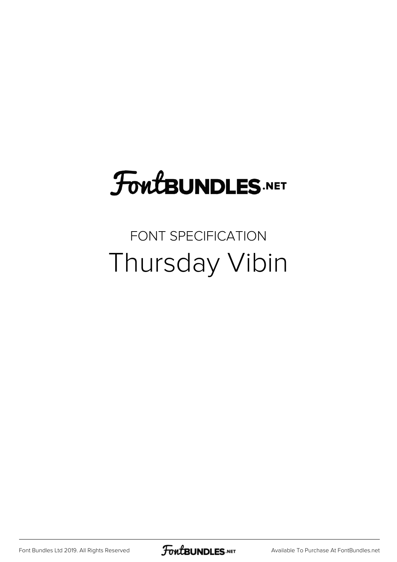# **FoutBUNDLES.NET**

## FONT SPECIFICATION Thursday Vibin

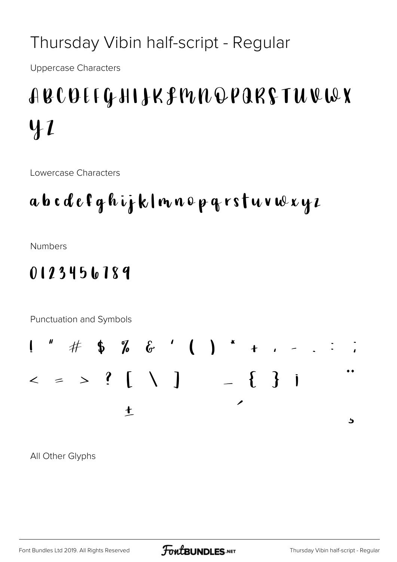### Thursday Vibin half-script - Regular

**Uppercase Characters** 

## ABCOEFGHIJKFMNQPARFTUVWX  $41$

Lowercase Characters

### abcdefghijklnnopgrstuvwxyz

**Numbers** 

#### 0123456789

Punctuation and Symbols



All Other Glyphs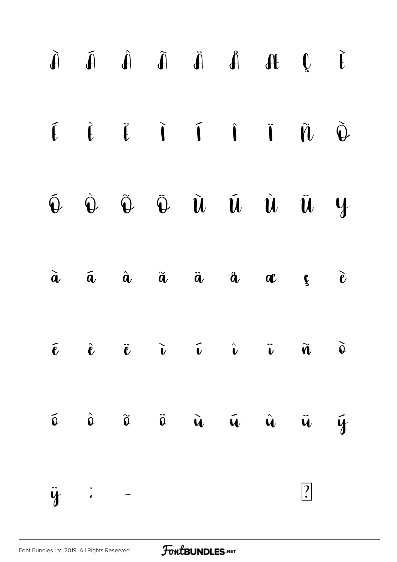|                |  |  | $\tilde{A} \qquad \tilde{A} \qquad \tilde{A} \qquad \tilde{A} \qquad \tilde{A} \qquad \tilde{A} \qquad \tilde{A} \qquad \tilde{A} \qquad \tilde{A} \qquad \tilde{A}$ |             |  |
|----------------|--|--|----------------------------------------------------------------------------------------------------------------------------------------------------------------------|-------------|--|
|                |  |  |                                                                                                                                                                      |             |  |
|                |  |  | $\hat{\Phi}$ $\hat{\Phi}$ $\tilde{\Phi}$ $\tilde{\Phi}$ $\tilde{u}$ $\tilde{u}$ $\tilde{u}$ $\tilde{u}$ $\tilde{u}$                                                  |             |  |
|                |  |  | $\tilde{a}$ $\tilde{a}$ $\tilde{a}$ $\tilde{a}$ $\tilde{a}$ $a$ $\tilde{a}$ $\tilde{c}$                                                                              |             |  |
|                |  |  | $\vec{e}$ $\vec{e}$ $\vec{v}$ $\vec{v}$ $\vec{v}$ $\vec{v}$ $\vec{u}$ $\vec{o}$                                                                                      |             |  |
|                |  |  | $\hat{\phi}$ $\hat{\phi}$ $\tilde{\phi}$ $\tilde{\phi}$ $\tilde{u}$ $\tilde{u}$ $\tilde{u}$ $\tilde{u}$ $\tilde{y}$                                                  |             |  |
| $\ddot{y}$ : - |  |  |                                                                                                                                                                      | $\boxed{?}$ |  |
|                |  |  |                                                                                                                                                                      |             |  |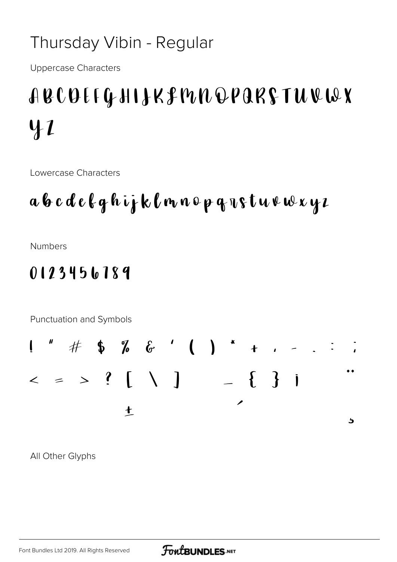### Thursday Vibin - Regular

**Uppercase Characters** 

## ABCOEFGHIJKFMNQPARFTUVWX  $41$

Lowercase Characters

### a b c d e l g h i j k l m n o p g n s t u v w x y z

**Numbers** 

#### 0123456789

Punctuation and Symbols



All Other Glyphs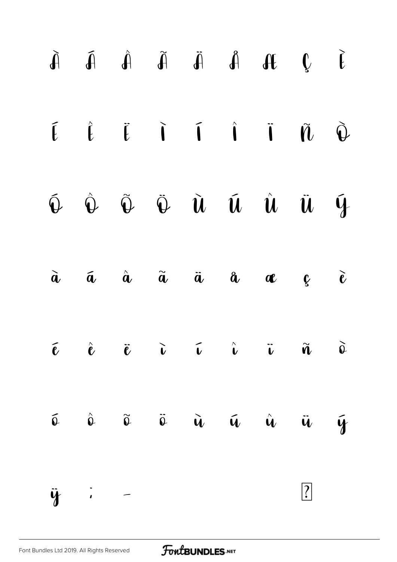|                  |  |  | $\begin{array}{ccccccccccccccccc} \tilde{A} & \tilde{A} & \tilde{A} & \tilde{A} & \tilde{A} & \tilde{A} & \tilde{A} & \tilde{A} & \tilde{A} & \tilde{A} & \tilde{A} & \tilde{A} & \tilde{A} & \tilde{A} & \tilde{A} & \tilde{A} & \tilde{A} & \tilde{A} & \tilde{A} & \tilde{A} & \tilde{A} & \tilde{A} & \tilde{A} & \tilde{A} & \tilde{A} & \tilde{A} & \tilde{A} & \tilde{A} & \tilde{A} & \tilde{A}$ |             |  |
|------------------|--|--|----------------------------------------------------------------------------------------------------------------------------------------------------------------------------------------------------------------------------------------------------------------------------------------------------------------------------------------------------------------------------------------------------------|-------------|--|
|                  |  |  | $\begin{array}{ccccccccccccc}\n\hat{L} & \hat{L} & \hat{L} & \hat{I} & \hat{I} & \hat{I} & \hat{I} & \hat{I} & \hat{U} & \hat{Q}\n\end{array}$                                                                                                                                                                                                                                                           |             |  |
|                  |  |  | $\begin{matrix} \hat{\Phi} & \hat{\Phi} & \tilde{\Phi} & \tilde{\Phi} & \tilde{\mathbf{u}} & \tilde{\mathbf{u}} & \hat{\mathbf{u}} & \tilde{\mathbf{u}} & \tilde{\mathbf{y}} \end{matrix}$                                                                                                                                                                                                               |             |  |
|                  |  |  | $\tilde{a}$ $\tilde{a}$ $\tilde{a}$ $\tilde{a}$ $\tilde{a}$ $a$ $\alpha$ $\zeta$ $\tilde{c}$                                                                                                                                                                                                                                                                                                             |             |  |
|                  |  |  | $\vec{v}$ $\hat{c}$ $\vec{v}$ $\hat{v}$ $\hat{v}$ $\hat{v}$ $\hat{v}$ $\hat{v}$ $\hat{v}$                                                                                                                                                                                                                                                                                                                |             |  |
|                  |  |  | $\hat{\Phi}$ $\hat{\Phi}$ $\tilde{\Phi}$ $\tilde{\Phi}$ $\tilde{\mathbf{u}}$ $\tilde{\mathbf{u}}$ $\tilde{\mathbf{u}}$ $\tilde{\mathbf{u}}$ $\tilde{\mathbf{y}}$                                                                                                                                                                                                                                         |             |  |
| $\ddot{y}$ : $-$ |  |  |                                                                                                                                                                                                                                                                                                                                                                                                          | $\boxed{?}$ |  |
|                  |  |  |                                                                                                                                                                                                                                                                                                                                                                                                          |             |  |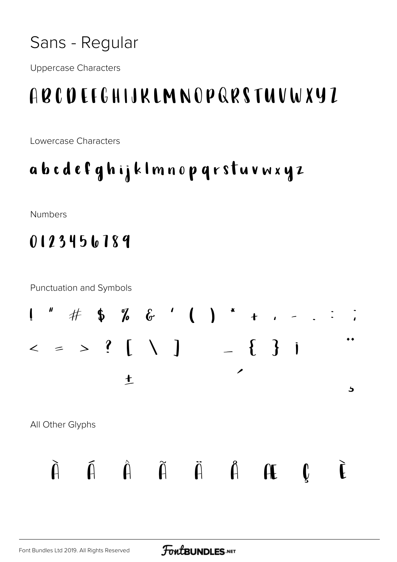**Uppercase Characters** 

## ABCDEFGHIJKLMNOPQRSTUVWXYZ

Lowercase Characters

### abcdefghijklmnopqrstuvwxyz

**Numbers** 

### 0123456789